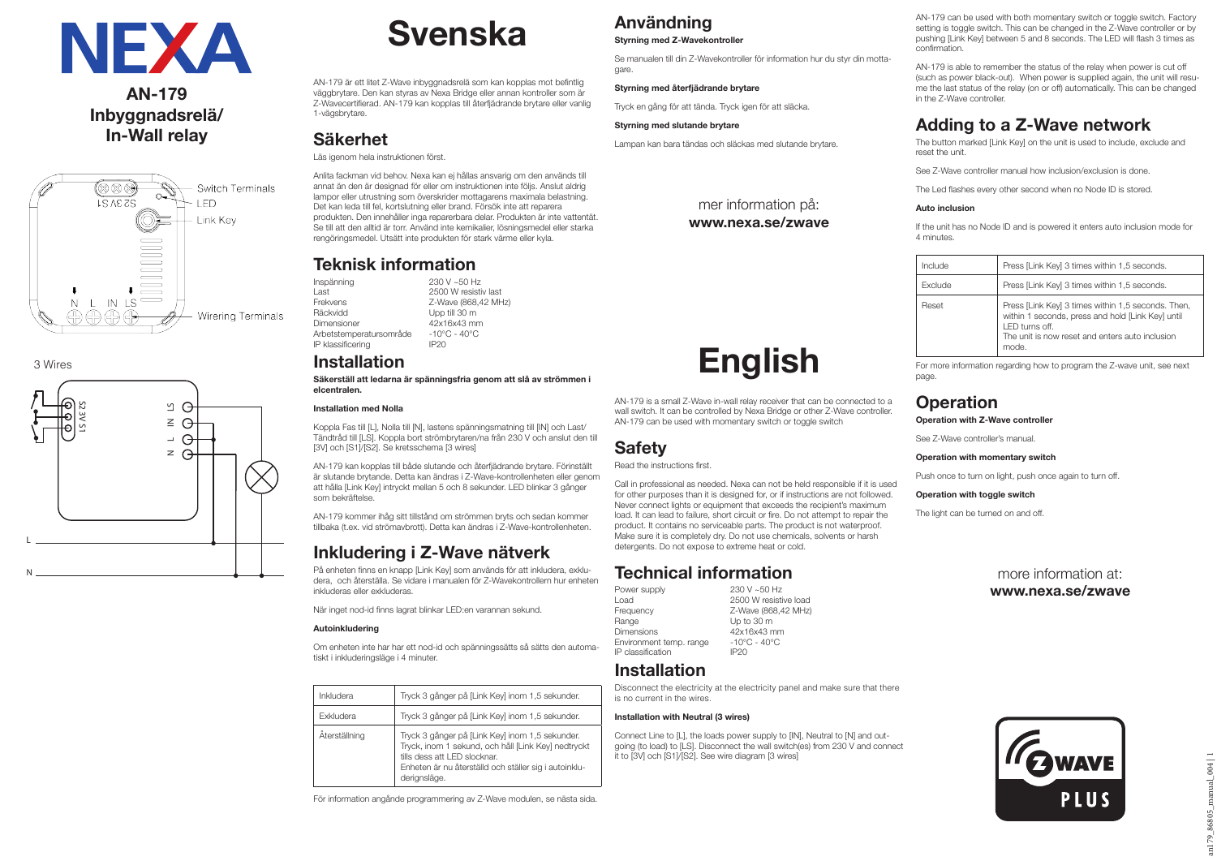

### **AN-179 Inbyggnadsrelä/ In-Wall relay**



3 Wires



# **Svenska**

AN-179 är ett litet Z-Wave inbyggnadsrelä som kan kopplas mot befintlig väggbrytare. Den kan styras av Nexa Bridge eller annan kontroller som är Z-Wavecertifierad. AN-179 kan kopplas till återfjädrande brytare eller vanlig 1-vägsbrytare.

### **Säkerhet**

#### Läs igenom hela instruktionen först.

Anlita fackman vid behov. Nexa kan ej hållas ansvarig om den används till annat än den är designad för eller om instruktionen inte följs. Anslut aldrig lampor eller utrustning som överskrider mottagarens maximala belastning. Det kan leda till fel, kortslutning eller brand. Försök inte att reparera produkten. Den innehåller inga reparerbara delar. Produkten är inte vattentät. Se till att den alltid är torr. Använd inte kemikalier, lösningsmedel eller starka rengöringsmedel. Utsätt inte produkten för stark värme eller kyla.

### **Teknisk information**

Inspänning 230 V ~50 Hz<br>Last 2500 W resisti Last 2500 W resistiv last<br>
Frekvens 2-Wave (868 42 MH) Frekvens  $Z$ -Wave (868,42 MHz)<br>Räckvidd Upp till 30 m Upp till 30 m Dimensioner 42x16x43 mm<br>Arbetstemperatursområde -10°C - 40°C Arbetstemperatursområde -10°C<br>IP klassificering - 40°C  $IP$  klassificering

### **Installation**

**Säkerställ att ledarna är spänningsfria genom att slå av strömmen i elcentralen.**

#### **Installation med Nolla**

Koppla Fas till [L], Nolla till [N], lastens spänningsmatning till [IN] och Last/ Tändtråd till [LS]. Koppla bort strömbrytaren/na från 230 V och anslut den till [3V] och [S1]/[S2]. Se kretsschema [3 wires]

AN-179 kan kopplas till både slutande och återfjädrande brytare. Förinställt är slutande brytande. Detta kan ändras i Z-Wave-kontrollenheten eller genom att hålla [Link Key] intryckt mellan 5 och 8 sekunder. LED blinkar 3 gånger som bekräftelse.

AN-179 kommer ihåg sitt tillstånd om strömmen bryts och sedan kommer tillbaka (t.ex. vid strömavbrott). Detta kan ändras i Z-Wave-kontrollenheten.

### **Inkludering i Z-Wave nätverk**

På enheten finns en knapp [Link Key] som används för att inkludera, exkludera, och återställa. Se vidare i manualen för Z-Wavekontrollern hur enheten inkluderas eller exkluderas.

När inget nod-id finns lagrat blinkar LED:en varannan sekund.

#### **Autoinkludering**

Om enheten inte har har ett nod-id och spänningssätts så sätts den automatiskt i inkluderingsläge i 4 minuter.

| Inkludera        | Tryck 3 gånger på [Link Key] inom 1,5 sekunder.                                                                                                                                                                  |
|------------------|------------------------------------------------------------------------------------------------------------------------------------------------------------------------------------------------------------------|
| <b>Fxkludera</b> | Tryck 3 gånger på [Link Key] inom 1,5 sekunder.                                                                                                                                                                  |
| Äterställning    | Tryck 3 gånger på [Link Key] inom 1,5 sekunder.<br>Tryck, inom 1 sekund, och håll [Link Key] nedtryckt<br>tills dess att I FD slocknar.<br>Enheten är nu återställd och ställer sig i autoinklu-<br>derignsläge. |

För information angånde programmering av Z-Wave modulen, se nästa sida.

## **Användning**

**Styrning med Z-Wavekontroller**

Se manualen till din Z-Wavekontroller för information hur du styr din mottagare.

#### **Styrning med återfjädrande brytare**

Tryck en gång för att tända. Tryck igen för att släcka.

#### **Styrning med slutande brytare**

**Safety** Read the instructions first.

Power supply<br>Load

 $IP$  classification **Installation**

is no current in the wires. **Installation with Neutral (3 wires)**

Lampan kan bara tändas och släckas med slutande brytare.

mer information på: **www.nexa.se/zwave**

**English**

AN-179 is a small Z-Wave in-wall relay receiver that can be connected to a wall switch. It can be controlled by Nexa Bridge or other Z-Wave controller. AN-179 can be used with momentary switch or toggle switch

Call in professional as needed. Nexa can not be held responsible if it is used for other purposes than it is designed for, or if instructions are not followed. Never connect lights or equipment that exceeds the recipient's maximum load. It can lead to failure, short circuit or fire. Do not attempt to repair the product. It contains no serviceable parts. The product is not waterproof. Make sure it is completely dry. Do not use chemicals, solvents or harsh

Z-Wave (868,42 MHz)

Disconnect the electricity at the electricity panel and make sure that there

Connect Line to [L], the loads power supply to [IN], Neutral to [N] and outgoing (to load) to [LS]. Disconnect the wall switch(es) from 230 V and connect

detergents. Do not expose to extreme heat or cold.

**Technical information**<br>Power supply

Range Up to 30 m Dimensions 42x16x43 mm<br>Environment temp range  $-10^{\circ}$ C - 40°C Environment temp. range  $-10^{\circ}$ <br>IP classification  $\qquad$  IP20

Load 2500 W resistive load<br>
Frequency 2-Wave (868.42 MHz)

it to [3V] och [S1]/[S2]. See wire diagram [3 wires]

AN-179 can be used with both momentary switch or toggle switch. Factory setting is toggle switch. This can be changed in the Z-Wave controller or by pushing [Link Key] between 5 and 8 seconds. The LED will flash 3 times as confirmation.

AN-179 is able to remember the status of the relay when power is cut off (such as power black-out). When power is supplied again, the unit will resume the last status of the relay (on or off) automatically. This can be changed in the Z-Wave controller.

## **Adding to a Z-Wave network**

The button marked [Link Key] on the unit is used to include, exclude and reset the unit.

See Z-Wave controller manual how inclusion/exclusion is done.

The Led flashes every other second when no Node ID is stored.

### **Auto inclusion**

If the unit has no Node ID and is powered it enters auto inclusion mode for 4 minutes.

| Include        | Press [Link Key] 3 times within 1,5 seconds.                                                                                                                                           |
|----------------|----------------------------------------------------------------------------------------------------------------------------------------------------------------------------------------|
| <b>Exclude</b> | Press [Link Key] 3 times within 1,5 seconds.                                                                                                                                           |
| Reset          | Press [Link Key] 3 times within 1,5 seconds. Then,<br>within 1 seconds, press and hold [Link Key] until<br>I FD turns off.<br>The unit is now reset and enters auto inclusion<br>mode. |

For more information regarding how to program the Z-wave unit, see next page.

### **Operation**

#### **Operation with Z-Wave controller**

See Z-Wave controller's manual.

#### **Operation with momentary switch**

Push once to turn on light, push once again to turn off.

#### **Operation with toggle switch**

The light can be turned on and off.

more information at: **www.nexa.se/zwave**